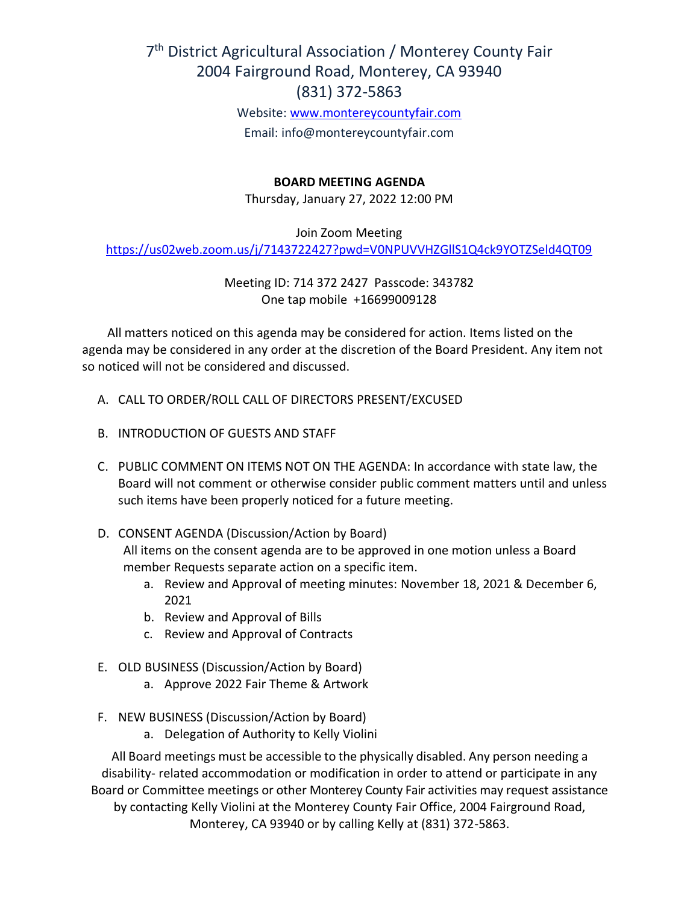# 7<sup>th</sup> District Agricultural Association / Monterey County Fair 2004 Fairground Road, Monterey, CA 93940 (831) 372-5863

Website: [www.montereycountyfair.com](http://www.montereycountyfair.com/) Email: info@montereycountyfair.com

## **BOARD MEETING AGENDA**

Thursday, January 27, 2022 12:00 PM

Join Zoom Meeting

<https://us02web.zoom.us/j/7143722427?pwd=V0NPUVVHZGllS1Q4ck9YOTZSeld4QT09>

Meeting ID: 714 372 2427 Passcode: 343782 One tap mobile +16699009128

 All matters noticed on this agenda may be considered for action. Items listed on the agenda may be considered in any order at the discretion of the Board President. Any item not so noticed will not be considered and discussed.

- A. CALL TO ORDER/ROLL CALL OF DIRECTORS PRESENT/EXCUSED
- B. INTRODUCTION OF GUESTS AND STAFF
- C. PUBLIC COMMENT ON ITEMS NOT ON THE AGENDA: In accordance with state law, the Board will not comment or otherwise consider public comment matters until and unless such items have been properly noticed for a future meeting.
- D. CONSENT AGENDA (Discussion/Action by Board) All items on the consent agenda are to be approved in one motion unless a Board member Requests separate action on a specific item.
	- a. Review and Approval of meeting minutes: November 18, 2021 & December 6, 2021
	- b. Review and Approval of Bills
	- c. Review and Approval of Contracts
- E. OLD BUSINESS (Discussion/Action by Board)
	- a. Approve 2022 Fair Theme & Artwork
- F. NEW BUSINESS (Discussion/Action by Board)
	- a. Delegation of Authority to Kelly Violini

All Board meetings must be accessible to the physically disabled. Any person needing a disability- related accommodation or modification in order to attend or participate in any Board or Committee meetings or other Monterey County Fair activities may request assistance by contacting Kelly Violini at the Monterey County Fair Office, 2004 Fairground Road, Monterey, CA 93940 or by calling Kelly at (831) 372-5863.